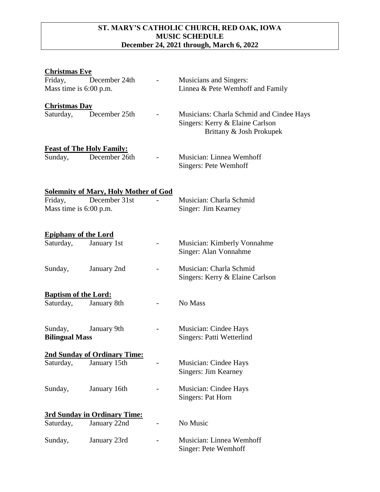## **ST. MARY'S CATHOLIC CHURCH, RED OAK, IOWA MUSIC SCHEDULE December 24, 2021 through, March 6, 2022**

| <b>Christmas Eve</b>                     |                                                               |                                                                                                         |
|------------------------------------------|---------------------------------------------------------------|---------------------------------------------------------------------------------------------------------|
| Friday,<br>Mass time is 6:00 p.m.        | December 24th                                                 | <b>Musicians and Singers:</b><br>Linnea & Pete Wemhoff and Family                                       |
| <b>Christmas Day</b><br>Saturday,        | December 25th                                                 | Musicians: Charla Schmid and Cindee Hays<br>Singers: Kerry & Elaine Carlson<br>Brittany & Josh Prokupek |
| Sunday,                                  | <b>Feast of The Holy Family:</b><br>December 26th             | Musician: Linnea Wemhoff<br>Singers: Pete Wemhoff                                                       |
| Friday,<br>Mass time is 6:00 p.m.        | <b>Solemnity of Mary, Holy Mother of God</b><br>December 31st | Musician: Charla Schmid<br>Singer: Jim Kearney                                                          |
| <b>Epiphany of the Lord</b><br>Saturday, | January 1st                                                   | Musician: Kimberly Vonnahme<br>Singer: Alan Vonnahme                                                    |
| Sunday,                                  | January 2nd                                                   | Musician: Charla Schmid<br>Singers: Kerry & Elaine Carlson                                              |
| <b>Baptism of the Lord:</b><br>Saturday, | January 8th                                                   | No Mass                                                                                                 |
| Sunday,<br><b>Bilingual Mass</b>         | January 9th                                                   | Musician: Cindee Hays<br>Singers: Patti Wetterlind                                                      |
|                                          | 2nd Sunday of Ordinary Time:                                  |                                                                                                         |
| Saturday,                                | January 15th                                                  | Musician: Cindee Hays<br>Singers: Jim Kearney                                                           |
| Sunday,                                  | January 16th                                                  | Musician: Cindee Hays<br>Singers: Pat Horn                                                              |
|                                          | <b>3rd Sunday in Ordinary Time:</b>                           |                                                                                                         |
| Saturday,                                | January 22nd                                                  | No Music                                                                                                |
| Sunday,                                  | January 23rd                                                  | Musician: Linnea Wemhoff<br>Singer: Pete Wemhoff                                                        |